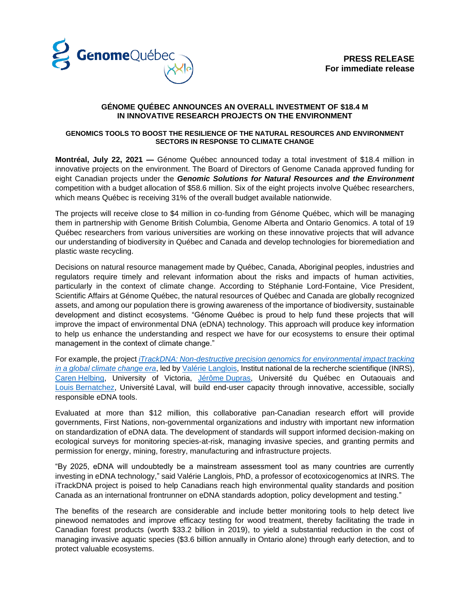

## **GÉNOME QUÉBEC ANNOUNCES AN OVERALL INVESTMENT OF \$18.4 M IN INNOVATIVE RESEARCH PROJECTS ON THE ENVIRONMENT**

#### **GENOMICS TOOLS TO BOOST THE RESILIENCE OF THE NATURAL RESOURCES AND ENVIRONMENT SECTORS IN RESPONSE TO CLIMATE CHANGE**

**Montréal, July 22, 2021 —** Génome Québec announced today a total investment of \$18.4 million in innovative projects on the environment. The Board of Directors of Genome Canada approved funding for eight Canadian projects under the *Genomic Solutions for Natural Resources and the Environment* competition with a budget allocation of \$58.6 million. Six of the eight projects involve Québec researchers, which means Québec is receiving 31% of the overall budget available nationwide.

The projects will receive close to \$4 million in co-funding from Génome Québec, which will be managing them in partnership with Genome British Columbia, Genome Alberta and Ontario Genomics. A total of 19 Québec researchers from various universities are working on these innovative projects that will advance our understanding of biodiversity in Québec and Canada and develop technologies for bioremediation and plastic waste recycling.

Decisions on natural resource management made by Québec, Canada, Aboriginal peoples, industries and regulators require timely and relevant information about the risks and impacts of human activities, particularly in the context of climate change. According to Stéphanie Lord-Fontaine, Vice President, Scientific Affairs at Génome Québec, the natural resources of Québec and Canada are globally recognized assets, and among our population there is growing awareness of the importance of biodiversity, sustainable development and distinct ecosystems. "Génome Québec is proud to help fund these projects that will improve the impact of environmental DNA (eDNA) technology. This approach will produce key information to help us enhance the understanding and respect we have for our ecosystems to ensure their optimal management in the context of climate change."

For example, the project *[iTrackDNA: Non-destructive precision genomics for environmental impact tracking](https://www.genomequebec.com/273-en/project/itrackdna-non-destructive-precision-genomics-for-environmental-impacttracking-in-a-global-climate-change-era/)  [in a global climate change era](https://www.genomequebec.com/273-en/project/itrackdna-non-destructive-precision-genomics-for-environmental-impacttracking-in-a-global-climate-change-era/)*, led by Valérie [Langlois,](https://www.genomequebec.com/1345-investigator/valerie-langlois/) Institut national de la recherche scientifique (INRS), Caren [Helbing,](https://www.genomequebec.com/1346-investigator/caren-helbing/) University of Victoria, [Jérôme](https://www.genomequebec.com/1343-investigator/jerome-dupras/) Dupras, Université du Québec en Outaouais and Louis [Bernatchez,](https://www.genomequebec.com/1307-investigator/louis-bernatchez/) Université Laval, will build end-user capacity through innovative, accessible, socially responsible eDNA tools.

Evaluated at more than \$12 million, this collaborative pan-Canadian research effort will provide governments, First Nations, non-governmental organizations and industry with important new information on standardization of eDNA data. The development of standards will support informed decision-making on ecological surveys for monitoring species-at-risk, managing invasive species, and granting permits and permission for energy, mining, forestry, manufacturing and infrastructure projects.

"By 2025, eDNA will undoubtedly be a mainstream assessment tool as many countries are currently investing in eDNA technology," said Valérie Langlois, PhD, a professor of ecotoxicogenomics at INRS. The iTrackDNA project is poised to help Canadians reach high environmental quality standards and position Canada as an international frontrunner on eDNA standards adoption, policy development and testing."

The benefits of the research are considerable and include better monitoring tools to help detect live pinewood nematodes and improve efficacy testing for wood treatment, thereby facilitating the trade in Canadian forest products (worth \$33.2 billion in 2019), to yield a substantial reduction in the cost of managing invasive aquatic species (\$3.6 billion annually in Ontario alone) through early detection, and to protect valuable ecosystems.